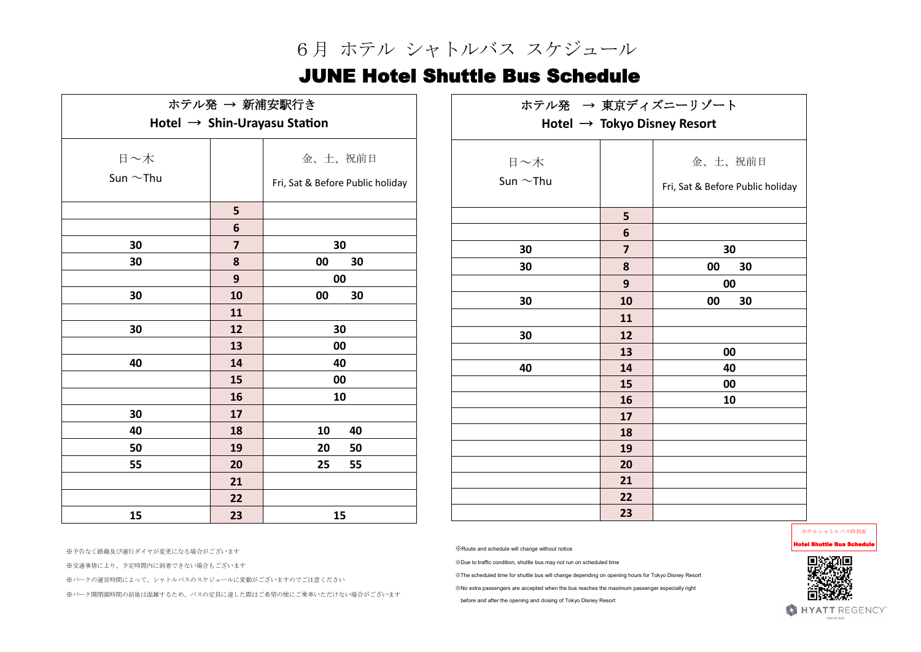※交通事情により、予定時間内に到着できない場合もございます

※パークの運営時間によって、シャトルバスのスケジュールに変動がございますのでご注意ください

※パーク開閉園時間の前後は混雑するため、バスの定員に達した際はご希望の便にご乗車いただけない場合がございます

※Route and schedule will change without notice

※Due to traffic condition, shuttle bus may not run on scheduled time

※The scheduled time for shuttle bus will change depending on opening hours for Tokyo Disney Resort

※No extra passengers are accepted when the bus reaches the maximum passenger especially right

before and after the opening and closing of Tokyo Disney Resort

ホテルシャトルバス時刻表

Hotel Shuttle Bus Schedule



## 6月 ホテル シャトルバス スケジュール

## JUNE Hotel Shuttle Bus Schedule

| ホテル発 → 新浦安駅行き<br>Hotel $\rightarrow$ Shin-Urayasu Station |                | ホテル発 → 東京ディズニーリゾート                      |  |                |                         |                                  |
|-----------------------------------------------------------|----------------|-----------------------------------------|--|----------------|-------------------------|----------------------------------|
|                                                           |                | Hotel $\rightarrow$ Tokyo Disney Resort |  |                |                         |                                  |
| 日~木                                                       |                | 金、土、祝前日                                 |  | 日~木            |                         | 金、土、祝前日                          |
| Sun $\sim$ Thu                                            |                | Fri, Sat & Before Public holiday        |  | Sun $\sim$ Thu |                         | Fri, Sat & Before Public holiday |
|                                                           | 5              |                                         |  |                | 5                       |                                  |
|                                                           | 6              |                                         |  |                | 6                       |                                  |
| 30                                                        | $\overline{7}$ | 30                                      |  | 30             | $\overline{\mathbf{z}}$ | 30                               |
| 30                                                        | 8              | 30<br>00                                |  | 30             | 8                       | 00<br>30                         |
|                                                           | 9              | 00                                      |  |                | 9                       | 00                               |
| 30                                                        | 10             | 00<br>30                                |  | 30             | 10                      | 30<br>00                         |
|                                                           | 11             |                                         |  |                | 11                      |                                  |
| 30                                                        | 12             | 30                                      |  | 30             | 12                      |                                  |
|                                                           | 13             | 00                                      |  |                | 13                      | 00                               |
| 40                                                        | 14             | 40                                      |  | 40             | 14                      | 40                               |
|                                                           | 15             | 00                                      |  |                | 15                      | 00                               |
|                                                           | 16             | 10                                      |  |                | 16                      | 10                               |
| 30                                                        | 17             |                                         |  |                | 17                      |                                  |
| 40                                                        | 18             | 40<br>10                                |  |                | 18                      |                                  |
| 50                                                        | 19             | 20<br>50                                |  |                | 19                      |                                  |
| 55                                                        | 20             | 55<br>25                                |  |                | 20                      |                                  |
|                                                           | 21             |                                         |  |                | 21                      |                                  |
|                                                           | 22             |                                         |  |                | 22                      |                                  |
| 15                                                        | 23             | 15                                      |  |                | 23                      |                                  |

※予告なく路線及び運行ダイヤが変更になる場合がございます